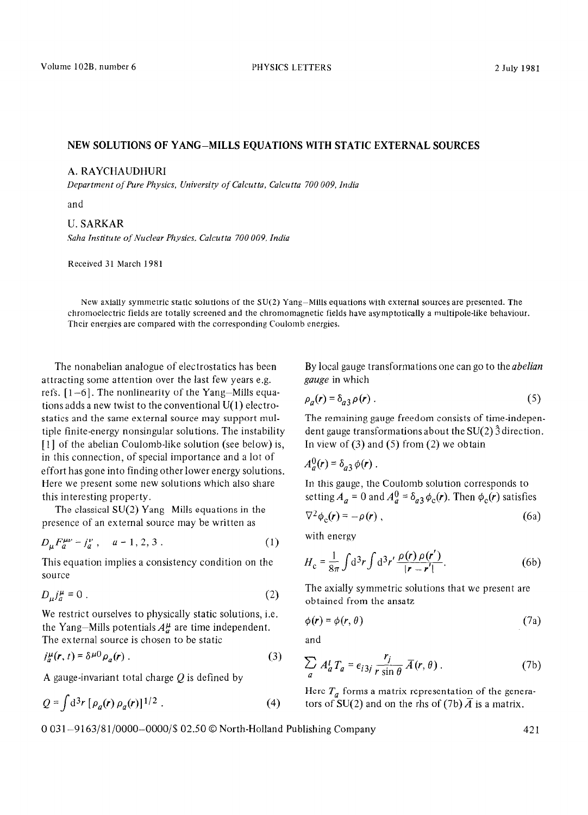## NEW SOLUTION:S OF YANG-MILLS EQUATIONS WITH STATIC EXTERNAL SOURCES

## A. RAYCHAUDHURI *zyxwvutsrqponmlkjihgfedcbaZYXWVUTSRQPONMLKJIHGFEDCBA*

*Department* of Pure *Physics, University of Calcutta, Calcutta 700 009, India* 

and

## U. SARKAR

*Saha Institute of Nuclear Physics, Calcutta 700 009, India* 

Received 31 March 1981

New axially symmetric static solutions of the SU(2) Yang-Mills equations with external sources are presented. The chromoelectric fields are totally screened and the chromomagnetic fields have asymptotically a multipole-like behaviour. Their energies are compared with the corresponding Coulomb energies.

The nonabelian analogue of electrostatics has been attracting some attention over the last few years e.g. refs. [l-6]. The nonlinearity of the Yang-Mills equations adds a new twist to the conventional U(1) electrostatics and the same external source may support multiple finite-energy nonsingular solutions. The instability [1] of the abelian Coulomb-like solution (see below) is, in this connection, of special importance and a lot of effort has gone into finding other lower energy solutions. Here we present some new solutions which also share this interesting property.

The classical  $SU(2)$  Yang-Mills equations in the presence of an external source may be written as

$$
D_{\mu}F_{a}^{\mu\nu} = j_{a}^{\nu} , \quad a = 1, 2, 3 . \tag{1}
$$

This equation implies a consistency condition on the source

$$
D_{\mu}j_{a}^{\mu}=0\ .\tag{2}
$$

We restrict ourselves to physically static solutions, i.e. the Yang-Mills potentials  $A^{\mu}_{\sigma}$  are time independent. The external source is chosen to be static

$$
j_a^{\mu}(r,t) = \delta^{\mu 0} \rho_a(r) \tag{3}
$$

A gauge-invariant total charge  $Q$  is defined by

$$
Q = \int d^3r \, [\rho_a(r) \, \rho_a(r)]^{1/2} \,. \tag{4}
$$

By local gauge transformations one can go to the *abelian gauge* in which

$$
\rho_a(\mathbf{r}) = \delta_{a3} \rho(\mathbf{r}) \,. \tag{5}
$$

The remaining gauge freedom consists of time-independent gauge transformations about the  $SU(2)$   $\hat{3}$  direction. In view of  $(3)$  and  $(5)$  from  $(2)$  we obtain

$$
A^0_\sigma(\mathbf{r}) = \delta_{\sigma^2} \phi(\mathbf{r}) \; .
$$

In this gauge, the Coulomb solution corresponds to setting  $A_a = 0$  and  $A_a^0 = \delta_{a3} \phi_c(r)$ . Then  $\phi_c(r)$  satisfies

$$
\nabla^2 \phi_c(\mathbf{r}) = -\rho(\mathbf{r}) \,, \tag{6a}
$$

with energy

$$
H_{\rm c} = \frac{1}{8\pi} \int d^3r \int d^3r' \frac{\rho(r) \rho(r')}{|r - r'|}. \tag{6b}
$$

The axially symmetric solutions that we present are obtained from the ansatz

$$
\phi(r) = \phi(r, \theta) \tag{7a}
$$

and

$$
\sum_{a} A_{a}^{i} T_{a} = \epsilon_{i3j} \frac{r_{j}}{r \sin \theta} \overline{A}(r, \theta).
$$
 (7b)

Here  $T_a$  forms a matrix representation of the generators of SU(2) and on the rhs of (7b)  $\overline{A}$  is a matrix.

0 031-9163/81/0000-OOOO/\$ 02.50 0 North-Holland Publishing Company 421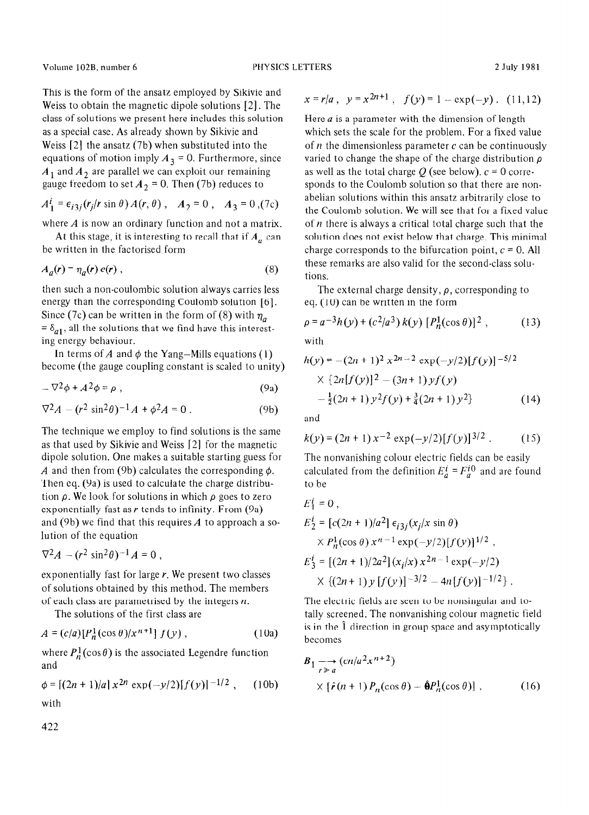Volume 102B, number 6 PHYSICS LETTERS 2 July 1981

This is the form of the ansatz employed by Sikivic and Weiss to obtain the magnetic dipole solutions [2]. The class of solutions we present here includes this solution as a special case. As already shown by Sikivie and Weiss [2] the ansatz (7b) when substituted into the equations of motion imply  $A_3 = 0$ . Furthermore, since  $A_1$  and  $A_2$  are parallel we can exploit our remaining gauge freedom to set  $A_2 = 0$ . Then (7b) reduces to

$$
A_1^i = \epsilon_{i3j}(r_j/r \sin \theta) A(r, \theta) , A_2 = 0 , A_3 = 0, (7c)
$$

where A is now an ordinary function and not a matrix.

At this stage, it is interesting to recall that if  $A_a$  can be written in the factorised form

$$
A_a(r) = \eta_a(r) e(r) , \qquad (8)
$$

then such a non-coulombic solution always carries less energy than the corresponding Coulomb solution [6]. Since (7c) can be written in the form of (8) with  $\eta_a$  $= \delta_{a1}$ , all the solutions that we find have this interesting energy behaviour.

In terms of A and  $\phi$  the Yang-Mills equations (1) become (the gauge coupling constant is scaled to unity)

$$
-\nabla^2\phi + A^2\phi = \rho \tag{9a}
$$

$$
\nabla^2 A - (r^2 \sin^2 \theta)^{-1} A + \phi^2 A = 0.
$$
 (9b)

The technique we employ to find solutions is the same as that used by Sikivie and Weiss [2] for the magnetic dipole solution. One makes a suitable starting guess for *A* and then from (9b) calculates the corresponding  $\phi$ . Then eq. (9a) is used to calculate the charge distribution *p.* We look for solutions in which *p goes* to zero exponentially fast as *r* tends to infinity. From (9a) and (9b) we find that this requires *A* to approach a solution of the equation

$$
\nabla^2 A - (r^2 \sin^2 \theta)^{-1} A = 0,
$$

exponentially fast for large *r.* We present two classes of solutions obtained by this method. The members of each class are parametrised by the integers  $n$ .

The solutions of the first class are

$$
A = (c/a)[P_n^1(\cos\theta)/x^{n+1}] f(y), \qquad (10a)
$$

where  $P_n^1(\cos\theta)$  is the associated Legendre function and

$$
\phi = [(2n+1)/a] x^{2n} \exp(-y/2) [f(y)]^{-1/2}, \quad (10b)
$$
  
with

422

$$
x = r/a, \ \ y = x^{2n+1}, \ \ f(y) = 1 - \exp(-y). \ \ (11, 12)
$$

 $A_1^l = \epsilon_{i3j}(r_j/r \sin \theta) A(r, \theta)$ ,  $A_2 = 0$ ,  $A_3 = 0$ ,  $(7c)$  is the Coulomb solution. We will see that for a fixed value Here *a* is a parameter with the dimension of length which sets the scale for the problem. For a fixed value of *n* the dimensionless parameter *c* can be continuously varied to change the shape of the charge distribution *p*  as well as the total charge  $Q$  (see below).  $c = 0$  corresponds to the Coulomb solution so that there are nonabelian solutions within this ansatz arbitrarily close to of  $n$  there is always a critical total charge such that the solution does not exist below that charge. This minimal charge corresponds to the bifurcation point,  $c = 0$ . All these remarks are also valid for the second-class solutions.

> The external charge density,  $\rho$ , corresponding to eq. (10) can be written in the form

$$
\rho = a^{-3}h(y) + (c^2/a^3) k(y) [P_n^1(\cos \theta)]^2 , \qquad (13)
$$

with

$$
h(y) = -(2n+1)^2 x^{2n-2} \exp(-y/2)[f(y)]^{-5/2}
$$
  
 
$$
\times \{2n[f(y)]^2 - (3n+1) y f(y) -\frac{1}{2}(2n+1) y^2 f(y) + \frac{3}{4}(2n+1) y^2\}
$$
 (14)

and

 $\mathbf{r}$ i

$$
k(y) = (2n + 1)x^{-2} \exp(-y/2)[f(y)]^{3/2} .
$$
 (15)

The nonvanishing colour electric fields can be easily calculated from the definition  $E_a^i = F_a^{i0}$  and are found to be

$$
E_1^i = 0,
$$
  
\n
$$
E_2^i = [c(2n + 1)/a^2] \epsilon_{i3j}(x_j/x \sin \theta)
$$
  
\n
$$
\times P_n^1(\cos \theta) x^{n-1} \exp(-y/2) [f(y)]^{1/2},
$$
  
\n
$$
E_3^i = [(2n + 1)/2a^2] (x_i/x) x^{2n-1} \exp(-y/2)
$$
  
\n
$$
\times \{ (2n + 1) y [f(y)]^{-3/2} - 4n[f(y)]^{-1/2} \}.
$$

The electric fields are seen to be nonsingular and totally screened. The nonvanishing colour magnetic field is in the 1 direction in group space and asymptotically becomes

$$
B_1 \longrightarrow_{r \geq a} (cn/a^2 x^{n+2})
$$
  
 
$$
\times [\hat{r}(n+1) P_n(\cos \theta) - \hat{\Theta} P_n^1(\cos \theta)],
$$
 (16)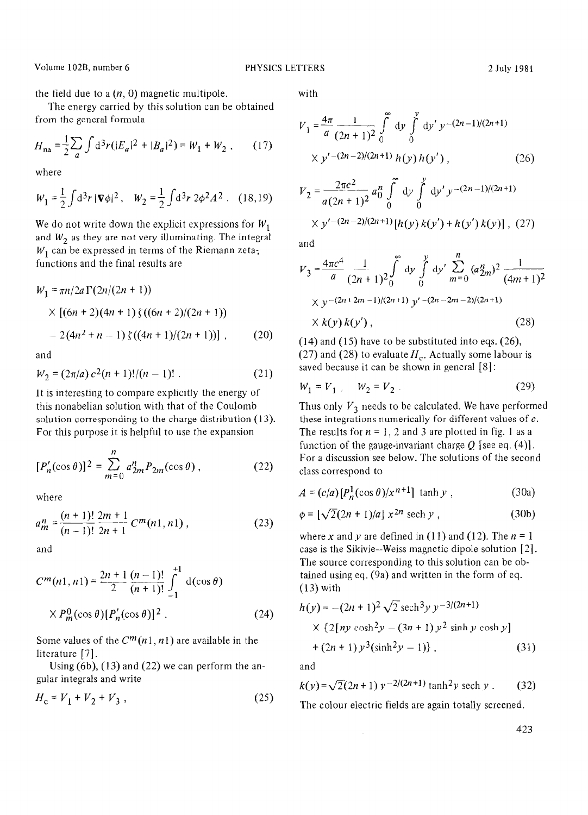Volume 102B, number 6 **PHYSICS LETTERS** 2 July 1981

the field due to a  $(n, 0)$  magnetic multipole. with

The energy carried by this solution can be obtained from the general formula

$$
H_{\text{na}} = \frac{1}{2} \sum_{a} \int d^3 r (|E_a|^2 + |B_a|^2) = W_1 + W_2 , \qquad (17)
$$

where

$$
W_1 = \frac{1}{2} \int d^3 r \, |\nabla \phi|^2 \,, \quad W_2 = \frac{1}{2} \int d^3 r \, 2\phi^2 A^2 \,. \tag{18,19}
$$

We do not write down the explicit expressions for  $W_1$ and  $W_2$  as they are not very illuminating. The integral  $W_1$  can be expressed in terms of the Riemann zetafunctions and the final results are

$$
W_1 = \pi n/2a \Gamma(2n/(2n+1))
$$
  
 
$$
\times [(6n+2)(4n+1) \zeta((6n+2)/(2n+1))
$$
  
 
$$
- 2(4n^2 + n - 1) \zeta((4n+1)/(2n+1))], \qquad (20)
$$

and

$$
W_2 = (2\pi/a) c^2 (n+1)!/(n-1)! \ . \tag{21}
$$

It is interesting to compare explicitly the energy of this nonabelian solution with that of the Coulomb solution corresponding to the charge distribution (13). For this purpose it is helpful to use the expansion

$$
[P'_n(\cos \theta)]^2 = \sum_{m=0}^n a_{2m}^n P_{2m}(\cos \theta), \qquad (22)
$$

where

$$
a_m^n = \frac{(n+1)!}{(n-1)!} \frac{2m+1}{2n+1} C^m(n1, n1) ,
$$
 (23)

and

$$
C^{m}(n1, n1) = \frac{2n+1}{2} \frac{(n-1)!}{(n+1)!} \int_{-1}^{+1} d(\cos \theta)
$$
  
×  $P_{m}^{0}(\cos \theta)[P'_{n}(\cos \theta)]^{2}$ . (24)

Some values of the  $C^m(n1, n1)$  are available in the literature [7].

Using (6b), (13) and (22) we can perform the angular integrals and write

$$
H_c = V_1 + V_2 + V_3 \t\t(25)
$$

$$
V_1 = \frac{4\pi}{a} \frac{1}{(2n+1)^2} \int_0^{\infty} dy' \int_0^y dy' y^{-(2n-1)/(2n+1)}
$$
  
 
$$
\times y'^{-(2n-2)/(2n+1)} h(y) h(y'), \qquad (26)
$$

$$
V_2 = \frac{2\pi c^2}{a(2n+1)^2} a_0^n \int_0^{\infty} dy \int_0^y dy' y^{-(2n-1)/(2n+1)}
$$
  
 
$$
\times y'^{-(2n-2)/(2n+1)} [h(y) k(y') + h(y') k(y)] , (27)
$$

and

$$
V_3 = \frac{4\pi c^4}{a} \frac{1}{(2n+1)^2} \int_0^{\infty} dy \int_0^y dy' \sum_{m=0}^n (a_{2m}^n)^2 \frac{1}{(4m+1)^2}
$$
  
 
$$
\times y^{-(2n+2m-1)/(2n+1)} y'^{-(2n-2m-2)/(2n+1)}
$$
  
 
$$
\times k(y) k(y'), \qquad (28)
$$

 $(14)$  and  $(15)$  have to be substituted into eqs.  $(26)$ , (27) and (28) to evaluate  $H_c$ . Actually some labour is saved because it can be shown in general [8] :

$$
W_1 = V_1, \quad W_2 = V_2. \tag{29}
$$

Thus only  $V_3$  needs to be calculated. We have performed these integrations numerically for different values of  $c$ . The results for  $n = 1$ , 2 and 3 are plotted in fig. 1 as a function of the gauge-invariant charge  $Q$  [see eq. (4)]. For a discussion see below. The solutions of the second class correspond to

$$
A = (c/a)[P_n^1(\cos \theta)/x^{n+1}] \tanh y , \qquad (30a)
$$

$$
\phi = [\sqrt{2}(2n+1)/a] x^{2n} \text{ sech } y , \qquad (30b)
$$

where x and y are defined in (11) and (12). The  $n = 1$ case is the Sikivie-Weiss magnetic dipole solution [2]. The source corresponding to this solution can be obtained using eq. (9a) and written in the form of eq. (13) with

$$
h(y) = -(2n + 1)^2 \sqrt{2} \operatorname{sech}^3 y y^{-3/(2n+1)}
$$
  
× {2[ny cosh<sup>2</sup>y – (3n + 1) y<sup>2</sup> sinh y cosh y]  
+ (2n + 1) y<sup>3</sup>(sinh<sup>2</sup>y – 1)}, (31)

and

$$
k(y) = \sqrt{2}(2n+1) y^{-2/(2n+1)} \tanh^2 y \text{ sech } y \,. \tag{32}
$$

The colour electric fields are again totally screened.

423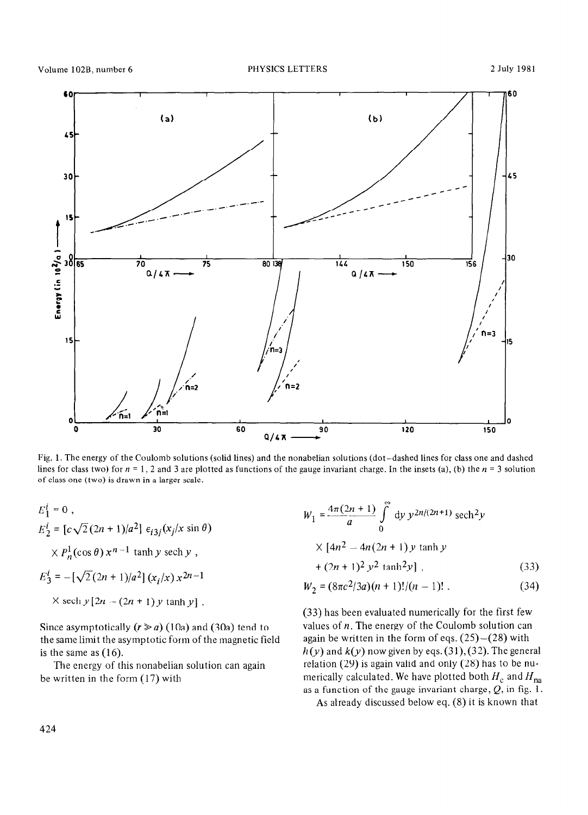

of class one (two) is drawn in a larger scale. Fig. 1. The energy of the Coulomb solutions (solid lines) and the nonabelian solutions (dot-dashed lines for class one and dashed lines for class two) for  $n = 1$ , 2 and 3 are plotted as functions of the gauge invariant charge. In the insets (a), (b) the  $n = 3$  solution

$$
E_1^i = 0,
$$
  
\n
$$
E_2^i = [c\sqrt{2}(2n+1)/a^2] \epsilon_{i3j}(x_j/x \sin \theta)
$$
  
\n
$$
\times P_n^1(\cos \theta) x^{n-1} \tanh y \text{ sech } y,
$$
  
\n
$$
E_3^i = -[\sqrt{2}(2n+1)/a^2] (x_i/x) x^{2n-1}
$$
  
\n
$$
\times \text{ sech } y[2n - (2n + 1) y \tanh y].
$$

Since asymptotically  $(r \ge a)$  (10a) and (30a) tend to the same limit the asymptotic form of the magnetic field is the same as *(16).* 

The energy of this nonabelian solution can again be written in the form (17) with

$$
W_1 = \frac{4\pi(2n+1)}{a} \int_0^{\infty} dy \ y^{2n/(2n+1)} \ \text{sech}^2 y
$$
  
 
$$
\times [4n^2 - 4n(2n+1) y \ \text{tanh } y
$$
  
 
$$
+ (2n+1)^2 y^2 \ \text{tanh}^2 y ]
$$
 (33)

$$
W_2 = (8\pi c^2/3a)(n+1)!(n-1)!\ . \tag{34}
$$

*(33)* has been evaluated numerically for the first few values of  $n$ . The energy of the Coulomb solution can again be written in the form of eqs.  $(25)-(28)$  with  $h(y)$  and  $k(y)$  now given by eqs. (31), (32). The general relation (29) is again valid and only (28) has to be **nu**merically calculated. We have plotted both  $H_c$  and  $H_{na}$ as a function of the gauge invariant charge,  $Q$ , in fig. 1.

As already discussed below eq. (8) it is known that